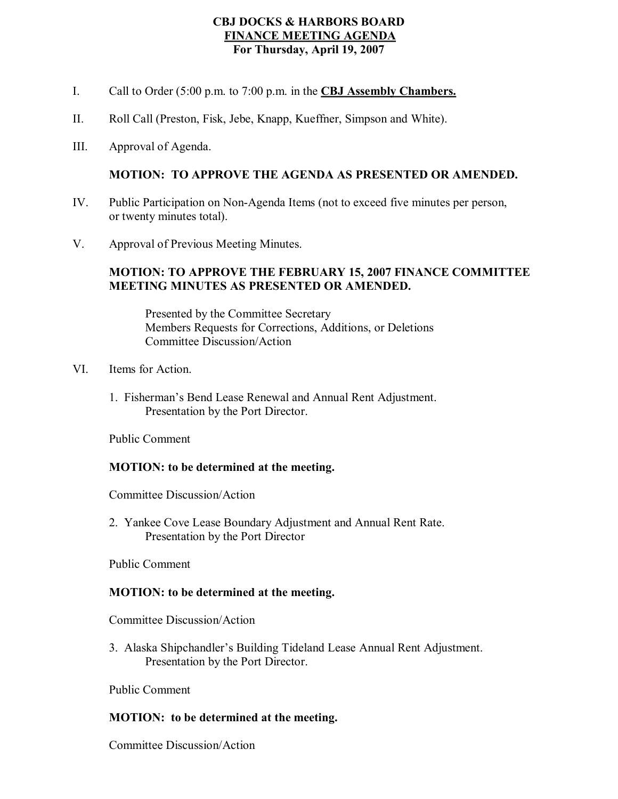### **CBJ DOCKS & HARBORS BOARD FINANCE MEETING AGENDA For Thursday, April 19, 2007**

- I. Call to Order (5:00 p.m. to 7:00 p.m. in the **CBJ Assembly Chambers.**
- II. Roll Call (Preston, Fisk, Jebe, Knapp, Kueffner, Simpson and White).
- III. Approval of Agenda.

### **MOTION: TO APPROVE THE AGENDA AS PRESENTED OR AMENDED.**

- IV. Public Participation on Non-Agenda Items (not to exceed five minutes per person, or twenty minutes total).
- V. Approval of Previous Meeting Minutes.

### **MOTION: TO APPROVE THE FEBRUARY 15, 2007 FINANCE COMMITTEE MEETING MINUTES AS PRESENTED OR AMENDED.**

Presented by the Committee Secretary Members Requests for Corrections, Additions, or Deletions Committee Discussion/Action

- VI. Items for Action.
	- 1. Fisherman's Bend Lease Renewal and Annual Rent Adjustment. Presentation by the Port Director.

Public Comment

#### **MOTION: to be determined at the meeting.**

Committee Discussion/Action

2. Yankee Cove Lease Boundary Adjustment and Annual Rent Rate. Presentation by the Port Director

Public Comment

#### **MOTION: to be determined at the meeting.**

Committee Discussion/Action

3. Alaska Shipchandler's Building Tideland Lease Annual Rent Adjustment. Presentation by the Port Director.

Public Comment

#### **MOTION: to be determined at the meeting.**

Committee Discussion/Action